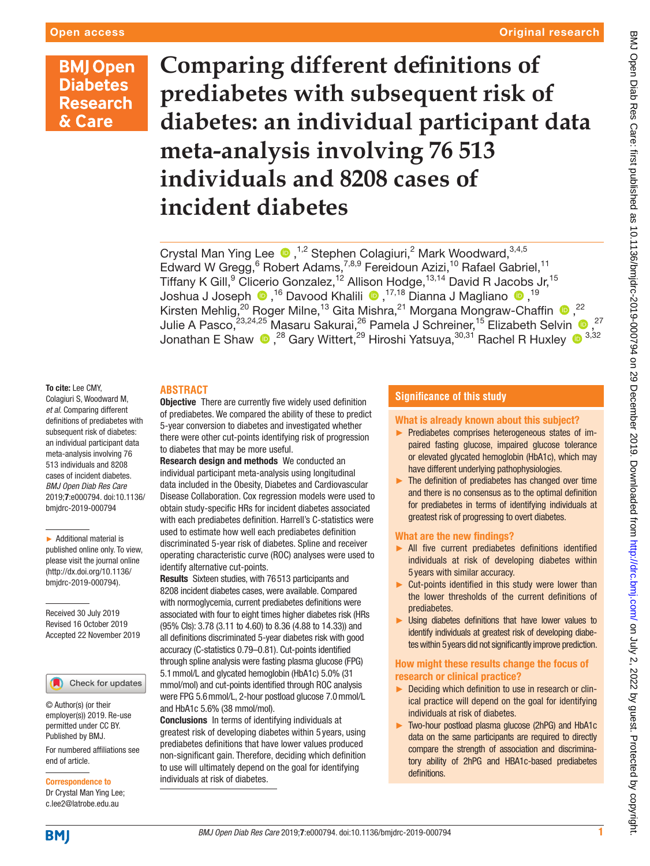# **BMJ Open Diabetes Research** & Care

**Comparing different definitions of prediabetes with subsequent risk of diabetes: an individual participant data meta-analysis involving 76 513 individuals and 8208 cases of incident diabetes**

Crystal Man Ying Lee  $\bigcirc$ ,<sup>1,2</sup> Stephen Colagiuri,<sup>2</sup> Mark Woodward,<sup>3,4,5</sup> Edward W Gregg, <sup>6</sup> Robert Adams, <sup>7,8,9</sup> Fereidoun Azizi, <sup>10</sup> Rafael Gabriel, <sup>11</sup> Tiffany K Gill,<sup>9</sup> Clicerio Gonzalez,<sup>12</sup> Allison Hodge,<sup>13,14</sup> David R Jacobs Jr,<sup>15</sup> JoshuaJ Joseph  $\textcolor{blue}{{}^{\textbullet}}\textcolor{blue}{,}^{16}$  Davood Khalili  $\textcolor{blue}{{}^{\textbullet}}\textcolor{blue}{,}^{17,18}$  Dianna J Magliano  $\textcolor{blue}{{}^{\textbullet}}\textcolor{blue}{,}^{19}$ KirstenMehlig,<sup>20</sup> Roger Milne,<sup>13</sup> Gita Mishra,<sup>21</sup> Morgana Mongraw-Chaffin <sup>®</sup>,<sup>22</sup> Julie A Pasco, $^{23,24,25}$  Masaru Sakurai, $^{26}$  Pamela J Schreiner, $^{15}$  Elizabeth Selvin  $\textcolor{red}{\bullet}$  , $^{27}$ Jonathan E Shaw  $\bigcirc$  ,<sup>28</sup> Gary Wittert,<sup>29</sup> Hiroshi Yatsuya,<sup>30,31</sup> Rachel R Huxley  $\bigcirc$  <sup>3,32</sup>

# **Abstract**

To cite: Lee CMY, Colagiuri S, Woodward M, *et al*. Comparing different definitions of prediabetes with subsequent risk of diabetes: an individual participant data meta-analysis involving 76 513 individuals and 8208 cases of incident diabetes. *BMJ Open Diab Res Care* 2019;7:e000794. doi:10.1136/ bmjdrc-2019-000794

► Additional material is published online only. To view, please visit the journal online (http://dx.doi.org/10.1136/ bmjdrc-2019-000794).

Received 30 July 2019 Revised 16 October 2019 Accepted 22 November 2019

#### Check for updates

© Author(s) (or their employer(s)) 2019. Re-use permitted under CC BY. Published by BMJ.

For numbered affiliations see end of article.

Correspondence to Dr Crystal Man Ying Lee; c.lee2@latrobe.edu.au

**Objective** There are currently five widely used definition of prediabetes. We compared the ability of these to predict 5-year conversion to diabetes and investigated whether there were other cut-points identifying risk of progression to diabetes that may be more useful.

Research design and methods We conducted an individual participant meta-analysis using longitudinal data included in the Obesity, Diabetes and Cardiovascular Disease Collaboration. Cox regression models were used to obtain study-specific HRs for incident diabetes associated with each prediabetes definition. Harrell's C-statistics were used to estimate how well each prediabetes definition discriminated 5-year risk of diabetes. Spline and receiver operating characteristic curve (ROC) analyses were used to identify alternative cut-points.

Results Sixteen studies, with 76513 participants and 8208 incident diabetes cases, were available. Compared with normoglycemia, current prediabetes definitions were associated with four to eight times higher diabetes risk (HRs (95% CIs): 3.78 (3.11 to 4.60) to 8.36 (4.88 to 14.33)) and all definitions discriminated 5-year diabetes risk with good accuracy (C-statistics 0.79–0.81). Cut-points identified through spline analysis were fasting plasma glucose (FPG) 5.1mmol/L and glycated hemoglobin (HbA1c) 5.0% (31 mmol/mol) and cut-points identified through ROC analysis were FPG 5.6mmol/L, 2-hour postload glucose 7.0mmol/L and HbA1c 5.6% (38 mmol/mol).

Conclusions In terms of identifying individuals at greatest risk of developing diabetes within 5 years, using prediabetes definitions that have lower values produced non-significant gain. Therefore, deciding which definition to use will ultimately depend on the goal for identifying individuals at risk of diabetes.

# **Significance of this study**

# What is already known about this subject?

- ► Prediabetes comprises heterogeneous states of impaired fasting glucose, impaired glucose tolerance or elevated glycated hemoglobin (HbA1c), which may have different underlying pathophysiologies.
- ► The definition of prediabetes has changed over time and there is no consensus as to the optimal definition for prediabetes in terms of identifying individuals at greatest risk of progressing to overt diabetes.

# What are the new findings?

- ► All five current prediabetes definitions identified individuals at risk of developing diabetes within 5 years with similar accuracy.
- ► Cut-points identified in this study were lower than the lower thresholds of the current definitions of prediabetes.
- ► Using diabetes definitions that have lower values to identify individuals at greatest risk of developing diabetes within 5years did not significantly improve prediction.

# How might these results change the focus of research or clinical practice?

- ► Deciding which definition to use in research or clinical practice will depend on the goal for identifying individuals at risk of diabetes.
- ► Two-hour postload plasma glucose (2hPG) and HbA1c data on the same participants are required to directly compare the strength of association and discriminatory ability of 2hPG and HBA1c-based prediabetes definitions.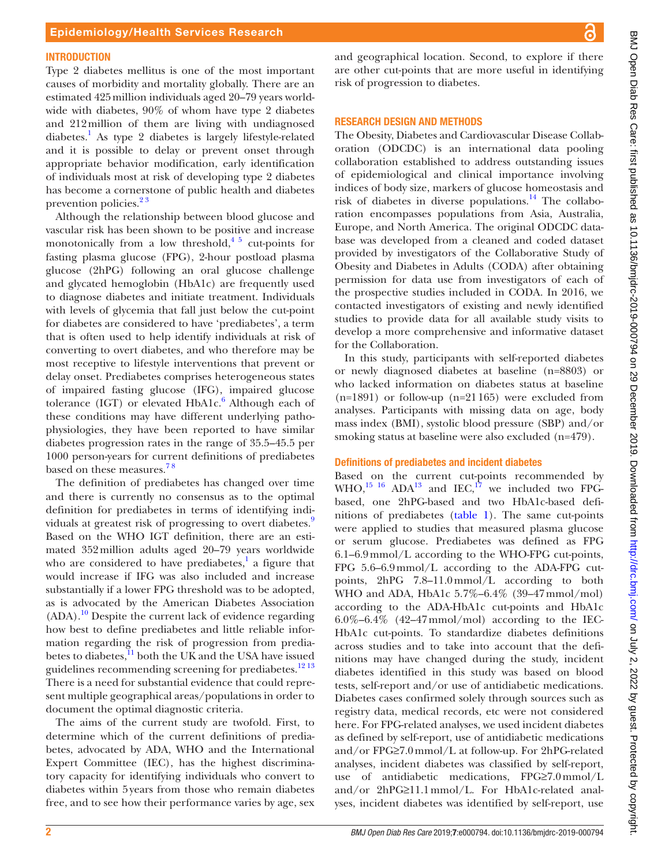#### **INTRODUCTION**

Type 2 diabetes mellitus is one of the most important causes of morbidity and mortality globally. There are an estimated 425million individuals aged 20–79 years worldwide with diabetes, 90% of whom have type 2 diabetes and 212million of them are living with undiagnosed diabetes.<sup>1</sup> As type 2 diabetes is largely lifestyle-related and it is possible to delay or prevent onset through appropriate behavior modification, early identification of individuals most at risk of developing type 2 diabetes has become a cornerstone of public health and diabetes prevention policies. $2<sup>3</sup>$ 

Although the relationship between blood glucose and vascular risk has been shown to be positive and increase monotonically from a low threshold, $4\frac{3}{2}$  cut-points for fasting plasma glucose (FPG), 2-hour postload plasma glucose (2hPG) following an oral glucose challenge and glycated hemoglobin (HbA1c) are frequently used to diagnose diabetes and initiate treatment. Individuals with levels of glycemia that fall just below the cut-point for diabetes are considered to have 'prediabetes', a term that is often used to help identify individuals at risk of converting to overt diabetes, and who therefore may be most receptive to lifestyle interventions that prevent or delay onset. Prediabetes comprises heterogeneous states of impaired fasting glucose (IFG), impaired glucose tolerance (IGT) or elevated HbA1c.<sup>6</sup> Although each of these conditions may have different underlying pathophysiologies, they have been reported to have similar diabetes progression rates in the range of 35.5–45.5 per 1000 person-years for current definitions of prediabetes based on these measures.<sup>78</sup>

The definition of prediabetes has changed over time and there is currently no consensus as to the optimal definition for prediabetes in terms of identifying indi-viduals at greatest risk of progressing to overt diabetes.<sup>[9](#page-8-5)</sup> Based on the WHO IGT definition, there are an estimated 352million adults aged 20–79 years worldwide who are considered to have prediabetes, $<sup>1</sup>$  $<sup>1</sup>$  $<sup>1</sup>$  a figure that</sup> would increase if IFG was also included and increase substantially if a lower FPG threshold was to be adopted, as is advocated by the American Diabetes Association  $(ADA).$ <sup>10</sup> Despite the current lack of evidence regarding how best to define prediabetes and little reliable information regarding the risk of progression from prediabetes to diabetes, $11$  both the UK and the USA have issued guidelines recommending screening for prediabetes.<sup>[12 13](#page-8-8)</sup> There is a need for substantial evidence that could represent multiple geographical areas/populations in order to document the optimal diagnostic criteria.

The aims of the current study are twofold. First, to determine which of the current definitions of prediabetes, advocated by ADA, WHO and the International Expert Committee (IEC), has the highest discriminatory capacity for identifying individuals who convert to diabetes within 5years from those who remain diabetes free, and to see how their performance varies by age, sex and geographical location. Second, to explore if there are other cut-points that are more useful in identifying risk of progression to diabetes.

#### Research design and methods

The Obesity, Diabetes and Cardiovascular Disease Collaboration (ODCDC) is an international data pooling collaboration established to address outstanding issues of epidemiological and clinical importance involving indices of body size, markers of glucose homeostasis and risk of diabetes in diverse populations.<sup>14</sup> The collaboration encompasses populations from Asia, Australia, Europe, and North America. The original ODCDC database was developed from a cleaned and coded dataset provided by investigators of the Collaborative Study of Obesity and Diabetes in Adults (CODA) after obtaining permission for data use from investigators of each of the prospective studies included in CODA. In 2016, we contacted investigators of existing and newly identified studies to provide data for all available study visits to develop a more comprehensive and informative dataset for the Collaboration.

In this study, participants with self-reported diabetes or newly diagnosed diabetes at baseline (n=8803) or who lacked information on diabetes status at baseline (n=1891) or follow-up (n=21165) were excluded from analyses. Participants with missing data on age, body mass index (BMI), systolic blood pressure (SBP) and/or smoking status at baseline were also excluded (n=479).

#### Definitions of prediabetes and incident diabetes

Based on the current cut-points recommended by WHO, $^{15}$  16 ADA<sup>13</sup> and IEC,<sup>17</sup> we included two FPGbased, one 2hPG-based and two HbA1c-based definitions of prediabetes [\(table](#page-2-0) 1). The same cut-points were applied to studies that measured plasma glucose or serum glucose. Prediabetes was defined as FPG 6.1–6.9mmol/L according to the WHO-FPG cut-points, FPG 5.6–6.9mmol/L according to the ADA-FPG cutpoints, 2hPG 7.8–11.0mmol/L according to both WHO and ADA, HbA1c 5.7%–6.4% (39–47mmol/mol) according to the ADA-HbA1c cut-points and HbA1c  $6.0\% - 6.4\%$  (42–47 mmol/mol) according to the IEC-HbA1c cut-points. To standardize diabetes definitions across studies and to take into account that the definitions may have changed during the study, incident diabetes identified in this study was based on blood tests, self-report and/or use of antidiabetic medications. Diabetes cases confirmed solely through sources such as registry data, medical records, etc were not considered here. For FPG-related analyses, we used incident diabetes as defined by self-report, use of antidiabetic medications and/or FPG≥7.0mmol/L at follow-up. For 2hPG-related analyses, incident diabetes was classified by self-report, use of antidiabetic medications, FPG≥7.0mmol/L and/or 2hPG≥11.1mmol/L. For HbA1c-related analyses, incident diabetes was identified by self-report, use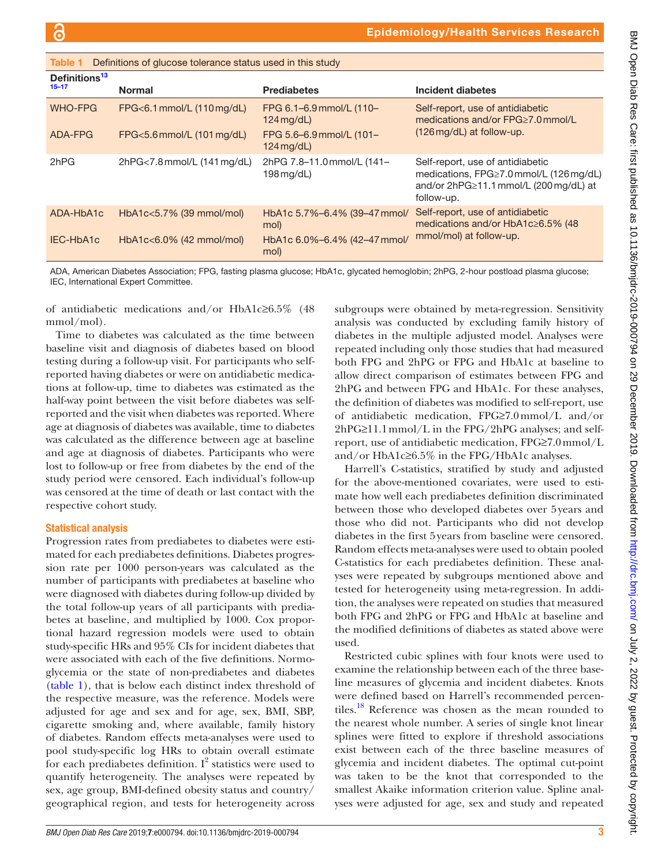<span id="page-2-0"></span>

| Table 1                                | Definitions of glucose tolerance status used in this study |                                          |                                                                                                                                           |
|----------------------------------------|------------------------------------------------------------|------------------------------------------|-------------------------------------------------------------------------------------------------------------------------------------------|
| Definitions <sup>13</sup><br>$15 - 17$ | <b>Normal</b>                                              | <b>Prediabetes</b>                       | Incident diabetes                                                                                                                         |
| <b>WHO-FPG</b>                         | FPG<6.1 mmol/L (110 mg/dL)                                 | FPG 6.1-6.9 mmol/L (110-<br>$124$ mg/dL) | Self-report, use of antidiabetic<br>medications and/or FPG≥7.0 mmol/L                                                                     |
| ADA-FPG                                | FPG<5.6 mmol/L (101 mg/dL)                                 | FPG 5.6-6.9 mmol/L (101-<br>$124$ mg/dL) | $(126 \,\text{mg/dL})$ at follow-up.                                                                                                      |
| 2hPG                                   | 2hPG<7.8 mmol/L (141 mg/dL)                                | 2hPG 7.8-11.0 mmol/L (141-<br>198 mg/dL) | Self-report, use of antidiabetic<br>medications, FPG≥7.0 mmol/L (126 mg/dL)<br>and/or $2hPG \ge 11.1$ mmol/L (200 mg/dL) at<br>follow-up. |
| ADA-HbA1c                              | HbA1c<5.7% (39 mmol/mol)                                   | HbA1c 5.7%-6.4% (39-47 mmol/<br>mol)     | Self-report, use of antidiabetic<br>medications and/or HbA1c≥6.5% (48                                                                     |
| IEC-HbA1c                              | $HbA1c<6.0\%$ (42 mmol/mol)                                | HbA1c 6.0%-6.4% (42-47 mmol/<br>mol)     | mmol/mol) at follow-up.                                                                                                                   |

ADA, American Diabetes Association; FPG, fasting plasma glucose; HbA1c, glycated hemoglobin; 2hPG, 2-hour postload plasma glucose; IEC, International Expert Committee.

of antidiabetic medications and/or HbA1c≥6.5% (48 mmol/mol).

Time to diabetes was calculated as the time between baseline visit and diagnosis of diabetes based on blood testing during a follow-up visit. For participants who selfreported having diabetes or were on antidiabetic medications at follow-up, time to diabetes was estimated as the half-way point between the visit before diabetes was selfreported and the visit when diabetes was reported. Where age at diagnosis of diabetes was available, time to diabetes was calculated as the difference between age at baseline and age at diagnosis of diabetes. Participants who were lost to follow-up or free from diabetes by the end of the study period were censored. Each individual's follow-up was censored at the time of death or last contact with the respective cohort study.

# Statistical analysis

Progression rates from prediabetes to diabetes were estimated for each prediabetes definitions. Diabetes progression rate per 1000 person-years was calculated as the number of participants with prediabetes at baseline who were diagnosed with diabetes during follow-up divided by the total follow-up years of all participants with prediabetes at baseline, and multiplied by 1000. Cox proportional hazard regression models were used to obtain study-specific HRs and 95% CIs for incident diabetes that were associated with each of the five definitions. Normoglycemia or the state of non-prediabetes and diabetes [\(table](#page-2-0) 1), that is below each distinct index threshold of the respective measure, was the reference. Models were adjusted for age and sex and for age, sex, BMI, SBP, cigarette smoking and, where available, family history of diabetes. Random effects meta-analyses were used to pool study-specific log HRs to obtain overall estimate for each prediabetes definition.  $I^2$  statistics were used to quantify heterogeneity. The analyses were repeated by sex, age group, BMI-defined obesity status and country/ geographical region, and tests for heterogeneity across

subgroups were obtained by meta-regression. Sensitivity analysis was conducted by excluding family history of diabetes in the multiple adjusted model. Analyses were repeated including only those studies that had measured both FPG and 2hPG or FPG and HbA1c at baseline to allow direct comparison of estimates between FPG and 2hPG and between FPG and HbA1c. For these analyses, the definition of diabetes was modified to self-report, use of antidiabetic medication, FPG≥7.0mmol/L and/or 2hPG≥11.1mmol/L in the FPG/2hPG analyses; and selfreport, use of antidiabetic medication, FPG≥7.0mmol/L and/or HbA1c≥6.5% in the FPG/HbA1c analyses.

Harrell's C-statistics, stratified by study and adjusted for the above-mentioned covariates, were used to estimate how well each prediabetes definition discriminated between those who developed diabetes over 5years and those who did not. Participants who did not develop diabetes in the first 5years from baseline were censored. Random effects meta-analyses were used to obtain pooled C-statistics for each prediabetes definition. These analyses were repeated by subgroups mentioned above and tested for heterogeneity using meta-regression. In addition, the analyses were repeated on studies that measured both FPG and 2hPG or FPG and HbA1c at baseline and the modified definitions of diabetes as stated above were used.

Restricted cubic splines with four knots were used to examine the relationship between each of the three baseline measures of glycemia and incident diabetes. Knots were defined based on Harrell's recommended percentiles.<sup>18</sup> Reference was chosen as the mean rounded to the nearest whole number. A series of single knot linear splines were fitted to explore if threshold associations exist between each of the three baseline measures of glycemia and incident diabetes. The optimal cut-point was taken to be the knot that corresponded to the smallest Akaike information criterion value. Spline analyses were adjusted for age, sex and study and repeated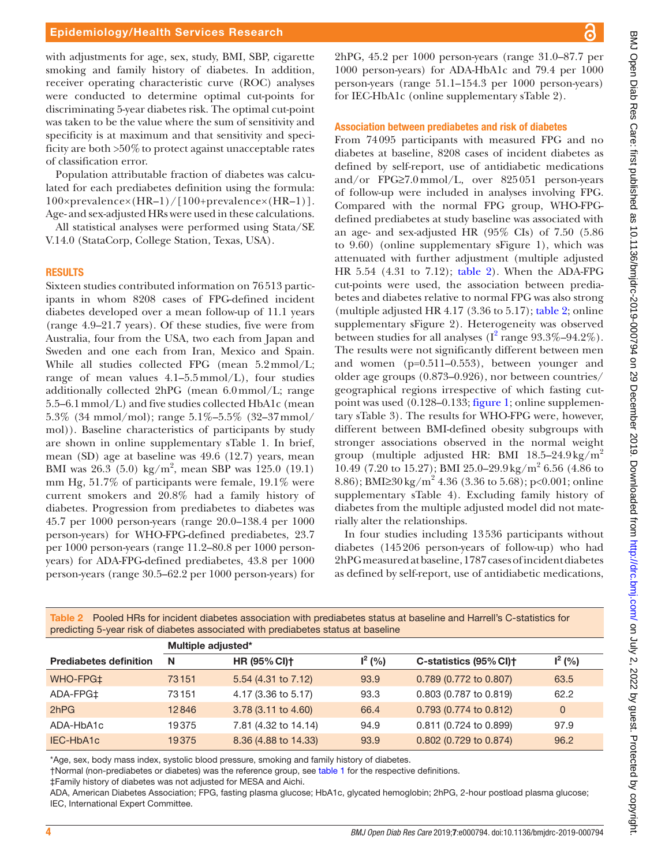with adjustments for age, sex, study, BMI, SBP, cigarette smoking and family history of diabetes. In addition, receiver operating characteristic curve (ROC) analyses were conducted to determine optimal cut-points for discriminating 5-year diabetes risk. The optimal cut-point was taken to be the value where the sum of sensitivity and specificity is at maximum and that sensitivity and specificity are both  $>50\%$  to protect against unacceptable rates of classification error.

Population attributable fraction of diabetes was calculated for each prediabetes definition using the formula: 100×prevalence×(HR–1)/[100+prevalence×(HR–1)]. Age- and sex-adjusted HRs were used in these calculations.

All statistical analyses were performed using Stata/SE V.14.0 (StataCorp, College Station, Texas, USA).

#### **RESULTS**

Sixteen studies contributed information on 76513 participants in whom 8208 cases of FPG-defined incident diabetes developed over a mean follow-up of 11.1 years (range 4.9–21.7 years). Of these studies, five were from Australia, four from the USA, two each from Japan and Sweden and one each from Iran, Mexico and Spain. While all studies collected FPG (mean 5.2mmol/L; range of mean values  $4.1-5.5$  mmol/L), four studies additionally collected 2hPG (mean 6.0mmol/L; range 5.5–6.1mmol/L) and five studies collected HbA1c (mean 5.3% (34 mmol/mol); range 5.1%–5.5% (32–37mmol/ mol)). Baseline characteristics of participants by study are shown in [online supplementary sTable 1](https://dx.doi.org/10.1136/bmjdrc-2019-000794). In brief, mean (SD) age at baseline was 49.6 (12.7) years, mean BMI was  $26.3$  (5.0) kg/m<sup>2</sup>, mean SBP was 125.0 (19.1) mm Hg, 51.7% of participants were female, 19.1% were current smokers and 20.8% had a family history of diabetes. Progression from prediabetes to diabetes was 45.7 per 1000 person-years (range 20.0–138.4 per 1000 person-years) for WHO-FPG-defined prediabetes, 23.7 per 1000 person-years (range 11.2–80.8 per 1000 personyears) for ADA-FPG-defined prediabetes, 43.8 per 1000 person-years (range 30.5–62.2 per 1000 person-years) for

2hPG, 45.2 per 1000 person-years (range 31.0–87.7 per 1000 person-years) for ADA-HbA1c and 79.4 per 1000 person-years (range 51.1–154.3 per 1000 person-years) for IEC-HbA1c [\(online supplementary sTable 2\)](https://dx.doi.org/10.1136/bmjdrc-2019-000794).

#### Association between prediabetes and risk of diabetes

From 74095 participants with measured FPG and no diabetes at baseline, 8208 cases of incident diabetes as defined by self-report, use of antidiabetic medications and/or FPG≥7.0mmol/L, over 825051 person-years of follow-up were included in analyses involving FPG. Compared with the normal FPG group, WHO-FPGdefined prediabetes at study baseline was associated with an age- and sex-adjusted HR (95% CIs) of 7.50 (5.86 to 9.60) [\(online supplementary sFigure 1](https://dx.doi.org/10.1136/bmjdrc-2019-000794)), which was attenuated with further adjustment (multiple adjusted HR 5.54 (4.31 to 7.12); [table](#page-3-0) 2). When the ADA-FPG cut-points were used, the association between prediabetes and diabetes relative to normal FPG was also strong (multiple adjusted HR  $4.17$  (3.36 to  $5.17$ ); [table](#page-3-0) 2; [online](https://dx.doi.org/10.1136/bmjdrc-2019-000794) [supplementary sFigure 2](https://dx.doi.org/10.1136/bmjdrc-2019-000794)). Heterogeneity was observed between studies for all analyses  $(I^2 \text{ range } 93.3\% - 94.2\%).$  $(I^2 \text{ range } 93.3\% - 94.2\%).$  $(I^2 \text{ range } 93.3\% - 94.2\%).$ The results were not significantly different between men and women (p=0.511–0.553), between younger and older age groups (0.873–0.926), nor between countries/ geographical regions irrespective of which fasting cutpoint was used (0.128–0.133; [figure](#page-4-0) 1; [online supplemen](https://dx.doi.org/10.1136/bmjdrc-2019-000794)[tary sTable 3](https://dx.doi.org/10.1136/bmjdrc-2019-000794)). The results for WHO-FPG were, however, different between BMI-defined obesity subgroups with stronger associations observed in the normal weight group (multiple adjusted HR: BMI  $18.5-24.9 \text{ kg/m}^2$ 10.49 (7.20 to 15.27); BMI 25.0–29.9kg/m<sup>2</sup> 6.56 (4.86 to 8.86); BMI≥30 kg/m<sup>2</sup> 4.36 (3.36 to 5.68); p<0.001; [online](https://dx.doi.org/10.1136/bmjdrc-2019-000794) [supplementary sTable 4](https://dx.doi.org/10.1136/bmjdrc-2019-000794)). Excluding family history of diabetes from the multiple adjusted model did not materially alter the relationships.

In four studies including 13536 participants without diabetes (145206 person-years of follow-up) who had 2hPG measured at baseline, 1787 cases of incident diabetes as defined by self-report, use of antidiabetic medications,

|                               |                    | predicting 5-year risk of diabetes associated with prediabetes status at baseline |           |                        |              |
|-------------------------------|--------------------|-----------------------------------------------------------------------------------|-----------|------------------------|--------------|
|                               | Multiple adjusted* |                                                                                   |           |                        |              |
| <b>Prediabetes definition</b> | N                  | <b>HR (95% CI)+</b>                                                               | $I^2(% )$ | C-statistics (95% CI)+ | $I^2(% )$    |
| WHO-FPG‡                      | 73151              | 5.54 (4.31 to 7.12)                                                               | 93.9      | 0.789 (0.772 to 0.807) | 63.5         |
| ADA-FPG‡                      | 73151              | 4.17 (3.36 to 5.17)                                                               | 93.3      | 0.803 (0.787 to 0.819) | 62.2         |
| 2hPG                          | 12846              | 3.78 (3.11 to 4.60)                                                               | 66.4      | 0.793 (0.774 to 0.812) | $\mathbf{0}$ |
| ADA-HbA1c                     | 19375              | 7.81 (4.32 to 14.14)                                                              | 94.9      | 0.811 (0.724 to 0.899) | 97.9         |
| IEC-HbA1c                     | 19375              | 8.36 (4.88 to 14.33)                                                              | 93.9      | 0.802 (0.729 to 0.874) | 96.2         |

<span id="page-3-0"></span>Table 2 Pooled HRs for incident diabetes association with prediabetes status at baseline and Harrell's C-statistics for

\*Age, sex, body mass index, systolic blood pressure, smoking and family history of diabetes.

†Normal (non-prediabetes or diabetes) was the reference group, see [table 1](#page-2-0) for the respective definitions.

‡Family history of diabetes was not adjusted for MESA and Aichi.

ADA, American Diabetes Association; FPG, fasting plasma glucose; HbA1c, glycated hemoglobin; 2hPG, 2-hour postload plasma glucose; IEC, International Expert Committee.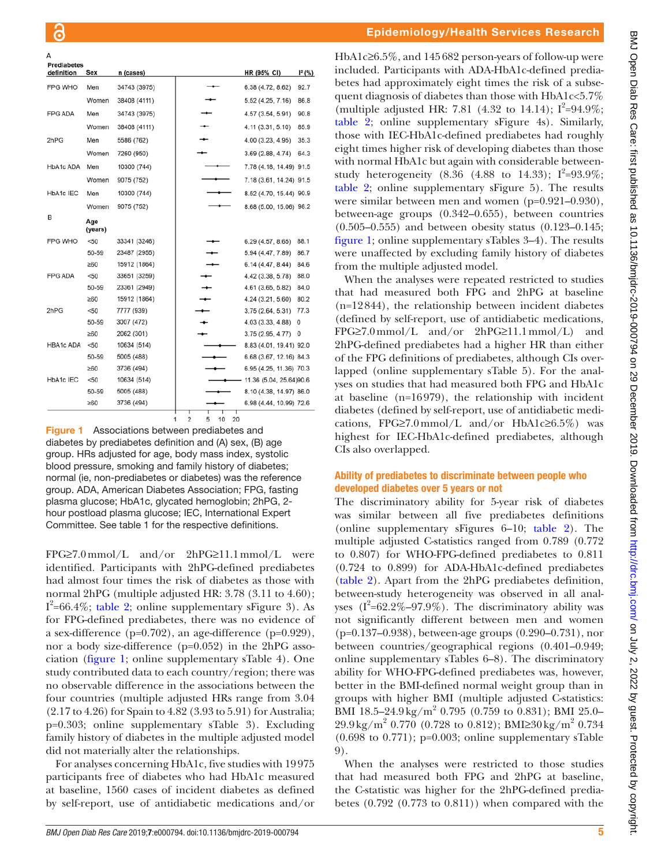| definition<br>Sex<br>HR (95% CI)<br>n (cases) |                         | $1^2$ (%) |
|-----------------------------------------------|-------------------------|-----------|
| FPG WHO<br>34743 (3975)<br>Men                | 6.38 (4.72, 8.62)       | 92.7      |
| Women<br>38408 (4111)                         | 5.52 (4.25, 7.16)       | 86.8      |
| <b>FPG ADA</b><br>Men<br>34743 (3975)         | 4.57 (3.54, 5.91)       | 90.8      |
| Women<br>38408 (4111)                         | 4.11 (3.31, 5.10)       | 85.9      |
| 2hPG<br>Men<br>5586 (762)                     | 4.00 (3.23, 4.95)       | 35.3      |
| Women<br>7260 (950)                           | 3.69 (2.88, 4.74)       | 64.3      |
| HbA1c ADA<br>Men<br>10300 (744)               | 7.78 (4.18, 14.49) 91.5 |           |
| Women<br>9075 (752)                           | 7.18 (3.61, 14.24) 91.5 |           |
| HbA1c IEC<br>10300 (744)<br>Men               | 8.52 (4.70, 15.44) 90.9 |           |
| Women<br>9075 (752)                           | 8.68 (5.00, 15.06) 98.2 |           |
| в<br>Age<br>(years)                           |                         |           |
| <b>FPG WHO</b><br>33341 (3246)<br>< 50        | 6.29 (4.57, 8.65)       | 88.1      |
| 50-59<br>23487 (2955)                         | 5.94 (4.47, 7.89)       | 86.7      |
| $\geq 60$<br>15912 (1864)                     | 6.14 (4.47, 8.44)       | 84.6      |
| <b>FPG ADA</b><br>< 50<br>33651 (3259)        | 4.42 (3.38, 5.78)       | 88.0      |
| 50-59<br>23361 (2949)                         | 4.61 (3.65, 5.82)       | 84.0      |
| $\geq 60$<br>15912 (1864)                     | 4.24 (3.21, 5.60)       | 80.2      |
| 2hPG<br>7777 (939)<br>$50$                    | 3.75 (2.64, 5.31)       | 77.3      |
| 50-59<br>3007 (472)                           | 4.03 (3.33, 4.88)       | 0         |
| 2062 (301)<br>$\geq 60$                       | 3.75 (2.95, 4.77)       | 0         |
| <b>HBA1c ADA</b><br>< 50<br>10634 (514)       | 8.83 (4.01, 19.41) 92.0 |           |
| 50-59<br>5005 (488)                           | 6.68 (3.67, 12.16) 84.3 |           |
| $\geq 60$<br>3736 (494)                       | 6.95 (4.25, 11.36) 70.3 |           |
| HbA1c IEC<br>< 50<br>10634 (514)              | 11.36 (5.04, 25.64)90.6 |           |
| 5005 (488)<br>50-59                           | 8.10 (4.38, 14.97) 86.0 |           |
| 3736 (494)<br>$\geq 60$                       | 6.98 (4.44, 10.99) 72.6 |           |

 $1 \quad 2$ 5 10 20

<span id="page-4-0"></span>Figure 1 Associations between prediabetes and diabetes by prediabetes definition and (A) sex, (B) age group. HRs adjusted for age, body mass index, systolic blood pressure, smoking and family history of diabetes; normal (ie, non-prediabetes or diabetes) was the reference group. ADA, American Diabetes Association; FPG, fasting plasma glucose; HbA1c, glycated hemoglobin; 2hPG, 2 hour postload plasma glucose; IEC, International Expert Committee. See [table 1](#page-2-0) for the respective definitions.

FPG≥7.0mmol/L and/or 2hPG≥11.1mmol/L were identified. Participants with 2hPG-defined prediabetes had almost four times the risk of diabetes as those with normal 2hPG (multiple adjusted HR: 3.78 (3.11 to 4.60);  $I^2$ =66.4%; [table](#page-3-0) 2; [online supplementary sFigure 3](https://dx.doi.org/10.1136/bmjdrc-2019-000794)). As for FPG-defined prediabetes, there was no evidence of a sex-difference (p=0.702), an age-difference (p=0.929), nor a body size-difference (p=0.052) in the 2hPG association ([figure](#page-4-0) 1; [online supplementary sTable 4](https://dx.doi.org/10.1136/bmjdrc-2019-000794)). One study contributed data to each country/region; there was no observable difference in the associations between the four countries (multiple adjusted HRs range from 3.04 (2.17 to 4.26) for Spain to 4.82 (3.93 to 5.91) for Australia; p=0.303; [online supplementary sTable 3\)](https://dx.doi.org/10.1136/bmjdrc-2019-000794). Excluding family history of diabetes in the multiple adjusted model did not materially alter the relationships.

For analyses concerning HbA1c, five studies with 19975 participants free of diabetes who had HbA1c measured at baseline, 1560 cases of incident diabetes as defined by self-report, use of antidiabetic medications and/or

### Epidemiology/Health Services Research

HbA1c≥6.5%, and 145682 person-years of follow-up were included. Participants with ADA-HbA1c-defined prediabetes had approximately eight times the risk of a subsequent diagnosis of diabetes than those with HbA1c<5.7% (multiple adjusted HR: 7.81 (4.32 to 14.14);  $I^2 = 94.9\%$ ; [table](#page-3-0) 2; [online supplementary sFigure 4s](https://dx.doi.org/10.1136/bmjdrc-2019-000794)). Similarly, those with IEC-HbA1c-defined prediabetes had roughly eight times higher risk of developing diabetes than those with normal HbA1c but again with considerable betweenstudy heterogeneity (8.36 (4.88 to 14.33);  $I^2 = 93.9\%$ ; [table](#page-3-0) 2; [online supplementary sFigure 5\)](https://dx.doi.org/10.1136/bmjdrc-2019-000794). The results were similar between men and women (p=0.921–0.930), between-age groups (0.342–0.655), between countries (0.505–0.555) and between obesity status (0.123–0.145; [figure](#page-4-0) 1; [online supplementary sTables 3–4\)](https://dx.doi.org/10.1136/bmjdrc-2019-000794). The results were unaffected by excluding family history of diabetes from the multiple adjusted model.

When the analyses were repeated restricted to studies that had measured both FPG and 2hPG at baseline (n=12844), the relationship between incident diabetes (defined by self-report, use of antidiabetic medications, FPG≥7.0mmol/L and/or 2hPG≥11.1mmol/L) and 2hPG-defined prediabetes had a higher HR than either of the FPG definitions of prediabetes, although CIs overlapped [\(online supplementary sTable 5\)](https://dx.doi.org/10.1136/bmjdrc-2019-000794). For the analyses on studies that had measured both FPG and HbA1c at baseline (n=16979), the relationship with incident diabetes (defined by self-report, use of antidiabetic medications, FPG≥7.0mmol/L and/or HbA1c≥6.5%) was highest for IEC-HbA1c-defined prediabetes, although CIs also overlapped.

# Ability of prediabetes to discriminate between people who developed diabetes over 5 years or not

The discriminatory ability for 5-year risk of diabetes was similar between all five prediabetes definitions [\(online supplementary sFigures 6–10;](https://dx.doi.org/10.1136/bmjdrc-2019-000794) [table](#page-3-0) 2). The multiple adjusted C-statistics ranged from 0.789 (0.772 to 0.807) for WHO-FPG-defined prediabetes to 0.811 (0.724 to 0.899) for ADA-HbA1c-defined prediabetes [\(table](#page-3-0) 2). Apart from the 2hPG prediabetes definition, between-study heterogeneity was observed in all analyses  $(I^2=62.2\% - 97.9\%)$ . The discriminatory ability was not significantly different between men and women (p=0.137–0.938), between-age groups (0.290–0.731), nor between countries/geographical regions (0.401–0.949; [online supplementary sTables 6–8\)](https://dx.doi.org/10.1136/bmjdrc-2019-000794). The discriminatory ability for WHO-FPG-defined prediabetes was, however, better in the BMI-defined normal weight group than in groups with higher BMI (multiple adjusted C-statistics: BMI 18.5–24.9 kg/m<sup>2</sup> 0.795 (0.759 to 0.831); BMI 25.0–  $29.9 \text{ kg/m}^2$  0.770 (0.728 to 0.812); BMI $\geq$ 30 kg/m<sup>2</sup> 0.734  $(0.698 \text{ to } 0.771)$ ; p=0.003; [online supplementary sTable](https://dx.doi.org/10.1136/bmjdrc-2019-000794) [9](https://dx.doi.org/10.1136/bmjdrc-2019-000794)).

When the analyses were restricted to those studies that had measured both FPG and 2hPG at baseline, the C-statistic was higher for the 2hPG-defined prediabetes (0.792 (0.773 to 0.811)) when compared with the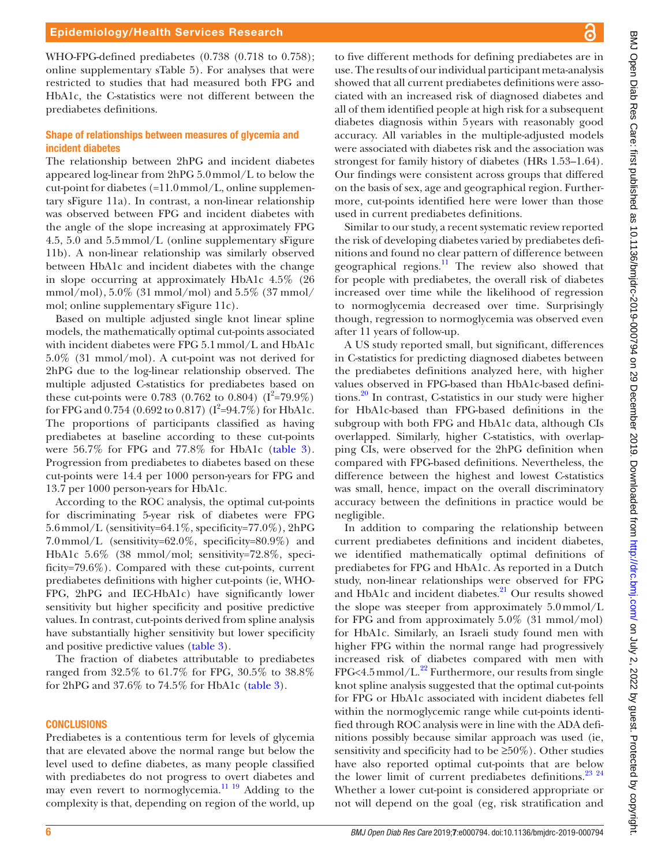WHO-FPG-defined prediabetes (0.738 (0.718 to 0.758); [online supplementary sTable 5\)](https://dx.doi.org/10.1136/bmjdrc-2019-000794). For analyses that were restricted to studies that had measured both FPG and HbA1c, the C-statistics were not different between the prediabetes definitions.

#### Shape of relationships between measures of glycemia and incident diabetes

The relationship between 2hPG and incident diabetes appeared log-linear from 2hPG 5.0mmol/L to below the cut-point for diabetes  $(=11.0 \,\mathrm{mmol/L})$ , [online supplemen](https://dx.doi.org/10.1136/bmjdrc-2019-000794)[tary sFigure 11a\)](https://dx.doi.org/10.1136/bmjdrc-2019-000794). In contrast, a non-linear relationship was observed between FPG and incident diabetes with the angle of the slope increasing at approximately FPG 4.5, 5.0 and 5.5mmol/L ([online supplementary sFigure](https://dx.doi.org/10.1136/bmjdrc-2019-000794) [11b](https://dx.doi.org/10.1136/bmjdrc-2019-000794)). A non-linear relationship was similarly observed between HbA1c and incident diabetes with the change in slope occurring at approximately HbA1c 4.5% (26 mmol/mol), 5.0% (31 mmol/mol) and 5.5% (37 mmol/ mol; [online supplementary sFigure 11c\)](https://dx.doi.org/10.1136/bmjdrc-2019-000794).

Based on multiple adjusted single knot linear spline models, the mathematically optimal cut-points associated with incident diabetes were FPG 5.1mmol/L and HbA1c 5.0% (31 mmol/mol). A cut-point was not derived for 2hPG due to the log-linear relationship observed. The multiple adjusted C-statistics for prediabetes based on these cut-points were 0.783 (0.762 to 0.804)  $(I^2=79.9\%)$ for FPG and 0.754 (0.692 to 0.817) ( $I^2=94.7\%$ ) for HbA1c. The proportions of participants classified as having prediabetes at baseline according to these cut-points were 56.7% for FPG and 77.8% for HbA1c [\(table](#page-6-0) 3). Progression from prediabetes to diabetes based on these cut-points were 14.4 per 1000 person-years for FPG and 13.7 per 1000 person-years for HbA1c.

According to the ROC analysis, the optimal cut-points for discriminating 5-year risk of diabetes were FPG 5.6mmol/L (sensitivity=64.1%, specificity=77.0%), 2hPG 7.0mmol/L (sensitivity=62.0%, specificity=80.9%) and HbA1c 5.6% (38 mmol/mol; sensitivity=72.8%, specificity=79.6%). Compared with these cut-points, current prediabetes definitions with higher cut-points (ie, WHO-FPG, 2hPG and IEC-HbA1c) have significantly lower sensitivity but higher specificity and positive predictive values. In contrast, cut-points derived from spline analysis have substantially higher sensitivity but lower specificity and positive predictive values ([table](#page-6-0) 3).

The fraction of diabetes attributable to prediabetes ranged from 32.5% to 61.7% for FPG, 30.5% to 38.8% for 2hPG and 37.6% to 74.5% for HbA1c [\(table](#page-6-0) 3).

#### **CONCLUSIONS**

Prediabetes is a contentious term for levels of glycemia that are elevated above the normal range but below the level used to define diabetes, as many people classified with prediabetes do not progress to overt diabetes and may even revert to normoglycemia.<sup>[11 19](#page-8-7)</sup> Adding to the complexity is that, depending on region of the world, up

to five different methods for defining prediabetes are in use. The results of our individual participant meta-analysis showed that all current prediabetes definitions were associated with an increased risk of diagnosed diabetes and all of them identified people at high risk for a subsequent diabetes diagnosis within 5years with reasonably good accuracy. All variables in the multiple-adjusted models were associated with diabetes risk and the association was strongest for family history of diabetes (HRs 1.53–1.64). Our findings were consistent across groups that differed on the basis of sex, age and geographical region. Furthermore, cut-points identified here were lower than those used in current prediabetes definitions.

Similar to our study, a recent systematic review reported the risk of developing diabetes varied by prediabetes definitions and found no clear pattern of difference between geographical regions.<sup>[11](#page-8-7)</sup> The review also showed that for people with prediabetes, the overall risk of diabetes increased over time while the likelihood of regression to normoglycemia decreased over time. Surprisingly though, regression to normoglycemia was observed even after 11 years of follow-up.

A US study reported small, but significant, differences in C-statistics for predicting diagnosed diabetes between the prediabetes definitions analyzed here, with higher values observed in FPG-based than HbA1c-based definitions.[20](#page-9-2) In contrast, C-statistics in our study were higher for HbA1c-based than FPG-based definitions in the subgroup with both FPG and HbA1c data, although CIs overlapped. Similarly, higher C-statistics, with overlapping CIs, were observed for the 2hPG definition when compared with FPG-based definitions. Nevertheless, the difference between the highest and lowest C-statistics was small, hence, impact on the overall discriminatory accuracy between the definitions in practice would be negligible.

In addition to comparing the relationship between current prediabetes definitions and incident diabetes, we identified mathematically optimal definitions of prediabetes for FPG and HbA1c. As reported in a Dutch study, non-linear relationships were observed for FPG and HbA1c and incident diabetes.<sup>21</sup> Our results showed the slope was steeper from approximately 5.0mmol/L for FPG and from approximately 5.0% (31 mmol/mol) for HbA1c. Similarly, an Israeli study found men with higher FPG within the normal range had progressively increased risk of diabetes compared with men with  $FPG < 4.5$  mmol/L.<sup>22</sup> Furthermore, our results from single knot spline analysis suggested that the optimal cut-points for FPG or HbA1c associated with incident diabetes fell within the normoglycemic range while cut-points identified through ROC analysis were in line with the ADA definitions possibly because similar approach was used (ie, sensitivity and specificity had to be  $\geq 50\%$ ). Other studies have also reported optimal cut-points that are below the lower limit of current prediabetes definitions. $^{23}$   $^{24}$ Whether a lower cut-point is considered appropriate or not will depend on the goal (eg, risk stratification and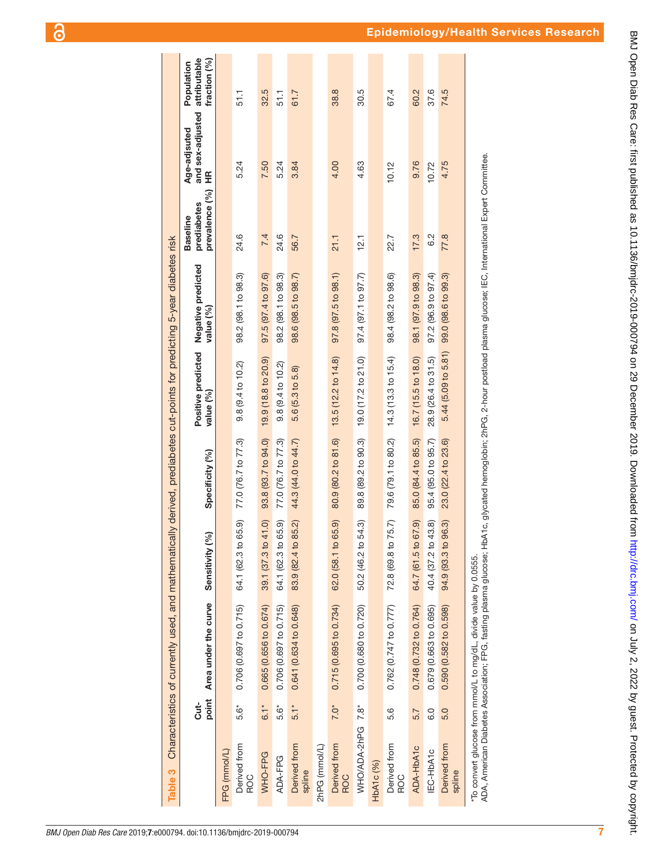|                        |                   | Table 3 Characteristics of currently used, and mathematically derived, prediabetes cut-points for predicting 5-year diabetes risk |                        |                     |                                 |                                 |                                                  |                                                              |                                            |
|------------------------|-------------------|-----------------------------------------------------------------------------------------------------------------------------------|------------------------|---------------------|---------------------------------|---------------------------------|--------------------------------------------------|--------------------------------------------------------------|--------------------------------------------|
|                        | point<br>Cut-     | Area under the curve                                                                                                              | [%]<br>Sensitivity     | Specificity (%)     | Positive predicted<br>value (%) | Negative predicted<br>value (%) | prevalence (%)<br>prediabetes<br><b>Baseline</b> | and sex-adjusted<br>Age-adjsuted<br>$\widetilde{\mathbf{H}}$ | attributable<br>fraction (%)<br>Population |
| FPG (mmol/L)           |                   |                                                                                                                                   |                        |                     |                                 |                                 |                                                  |                                                              |                                            |
| Derived from<br>ROC    | 5.6*              | 0.706 (0.697 to 0.715)                                                                                                            | 65.9)<br>64.1 (62.3 to | 77.0 (76.7 to 77.3) | 9.8 (9.4 to 10.2)               | 98.2 (98.1 to 98.3)             | 24.6                                             | 5.24                                                         | 51.1                                       |
| WHO-FPG                | $6.1*$            | 0.665 (0.656 to 0.674)                                                                                                            | 41.0)<br>39.1 (37.3 to | 93.8 (93.7 to 94.0) | 19.9 (18.8 to 20.9)             | 97.5 (97.4 to 97.6)             | 7.4                                              | 7.50                                                         | 32.5                                       |
| ADA-FPG                | 5.6*              | 0.706 (0.697 to 0.715)                                                                                                            | 65.9)<br>64.1 (62.3 to | 77.0 (76.7 to 77.3) | $9.8(9.4 \text{ to } 10.2)$     | 98.2 (98.1 to 98.3)             | 24.6                                             | 5.24                                                         | 51.1                                       |
| Derived from<br>spline | $5.1*$            | 0.641 (0.634 to 0.648)                                                                                                            | 85.2)<br>83.9 (82.4 to | 44.3 (44.0 to 44.7) | 5.6 (5.3 to 5.8)                | 98.6 (98.5 to 98.7)             | 56.7                                             | 3.84                                                         | 61.7                                       |
| 2hPG (mmol/L)          |                   |                                                                                                                                   |                        |                     |                                 |                                 |                                                  |                                                              |                                            |
| Derived from<br>ROC    | $7.0*$            | 0.715 (0.695 to 0.734)                                                                                                            | 65.9)<br>62.0 (58.1 to | 80.9 (80.2 to 81.6) | 13.5 (12.2 to 14.8)             | 97.8(97.5 to 98.1)              | 21.1                                             | 4.00                                                         | 38.8                                       |
| WHO/ADA-2hPG 7.8*      |                   | 0.700 (0.680 to 0.720)                                                                                                            | 54.3)<br>50.2 (46.2 to | 89.8 (89.2 to 90.3) | 19.0 (17.2 to 21.0)             | 97.4(97.1 to 97.7)              | 12.1                                             | 4.63                                                         | 30.5                                       |
| HbA1c (%)              |                   |                                                                                                                                   |                        |                     |                                 |                                 |                                                  |                                                              |                                            |
| Derived from<br>ROC    | 5.6               | 0.762 (0.747 to 0.777)                                                                                                            | 75.7<br>72.8 (69.8 to  | 79.6 (79.1 to 80.2) | 14.3 (13.3 to 15.4)             | 98.4 (98.2 to 98.6)             | 22.7                                             | 10.12                                                        | 67.4                                       |
| ADA-HbA1c              | 5.7               | 0.748 (0.732 to 0.764)                                                                                                            | 67.9)<br>64.7 (61.5 to | 85.0 (84.4 to 85.5) | 16.7 (15.5 to 18.0)             | 98.1 (97.9 to 98.3)             | 17.3                                             | 9.76                                                         | 60.2                                       |
| IEC-HbA1c              | $\overline{6}$ .0 | 0.679 (0.663 to 0.695)                                                                                                            | 43.8)<br>40.4 (37.2 to | 95.4 (95.0 to 95.7) | 28.9 (26.4 to 31.5)             | $97.2$ (96.9 to $97.4$ )        | 6.2                                              | 10.72                                                        | 37.6                                       |
| Derived from<br>spline | 5.0               | 0.590 (0.582 to 0.598)                                                                                                            | 96.3)<br>94.9 (93.3 to | 23.0 (22.4 to 23.6) | 5.44 (5.09 to 5.81)             | 99.0 (98.6 to 99.3)             | 77.8                                             | 4.75                                                         | 74.5                                       |
|                        |                   |                                                                                                                                   |                        |                     |                                 |                                 |                                                  |                                                              |                                            |

# \*To convert glucose from mmol/L to mg/dL, divide value by 0.0555.<br>ADA, American Diabetes Association; FPG, fasting plasma glucose; HbA1c, glycated hemoglobin; 2hPG, 2-hour postload plasma glucose; IEC, International Expert ADA, American Diabetes Association; FPG, fasting plasma glucose; HbA1c, glycated hemoglobin; 2hPG, 2-hour postload plasma glucose; IEC, International Expert Committee. \*To convert glucose from mmol/L to mg/dL, divide value by 0.0555.

<span id="page-6-0"></span>*BMJ Open Diab Res Care* 2019; 7:e000794. doi:10.1136/bmjdrc-2019-000794

<u>ခြ</u>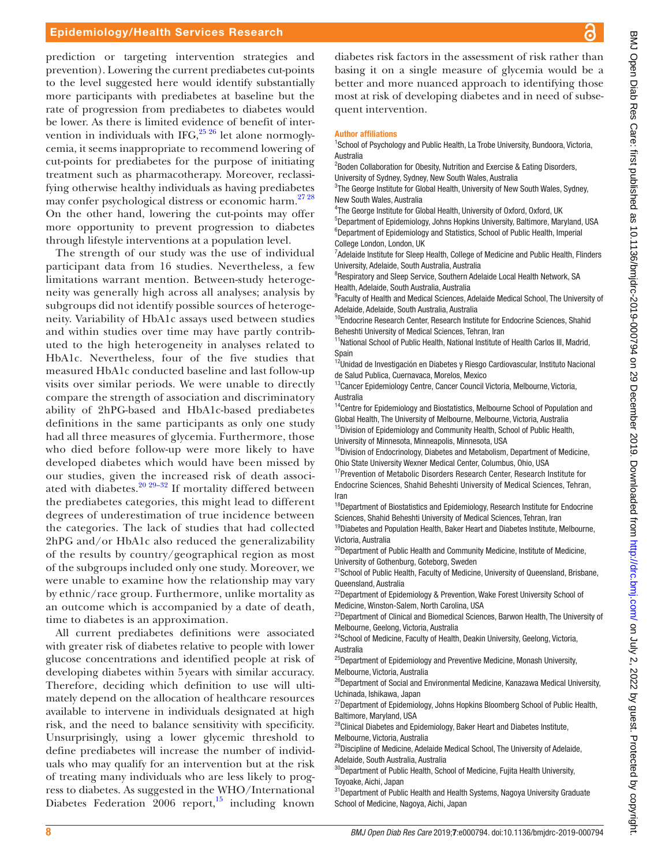prediction or targeting intervention strategies and prevention). Lowering the current prediabetes cut-points to the level suggested here would identify substantially more participants with prediabetes at baseline but the rate of progression from prediabetes to diabetes would be lower. As there is limited evidence of benefit of intervention in individuals with IFG,  $25\frac{25}{6}$  let alone normoglycemia, it seems inappropriate to recommend lowering of cut-points for prediabetes for the purpose of initiating treatment such as pharmacotherapy. Moreover, reclassifying otherwise healthy individuals as having prediabetes may confer psychological distress or economic harm.<sup>[27 28](#page-9-7)</sup> On the other hand, lowering the cut-points may offer more opportunity to prevent progression to diabetes through lifestyle interventions at a population level.

The strength of our study was the use of individual participant data from 16 studies. Nevertheless, a few limitations warrant mention. Between-study heterogeneity was generally high across all analyses; analysis by subgroups did not identify possible sources of heterogeneity. Variability of HbA1c assays used between studies and within studies over time may have partly contributed to the high heterogeneity in analyses related to HbA1c. Nevertheless, four of the five studies that measured HbA1c conducted baseline and last follow-up visits over similar periods. We were unable to directly compare the strength of association and discriminatory ability of 2hPG-based and HbA1c-based prediabetes definitions in the same participants as only one study had all three measures of glycemia. Furthermore, those who died before follow-up were more likely to have developed diabetes which would have been missed by our studies, given the increased risk of death associated with diabetes.<sup>20 29-32</sup> If mortality differed between the prediabetes categories, this might lead to different degrees of underestimation of true incidence between the categories. The lack of studies that had collected 2hPG and/or HbA1c also reduced the generalizability of the results by country/geographical region as most of the subgroups included only one study. Moreover, we were unable to examine how the relationship may vary by ethnic/race group. Furthermore, unlike mortality as an outcome which is accompanied by a date of death, time to diabetes is an approximation.

All current prediabetes definitions were associated with greater risk of diabetes relative to people with lower glucose concentrations and identified people at risk of developing diabetes within 5years with similar accuracy. Therefore, deciding which definition to use will ultimately depend on the allocation of healthcare resources available to intervene in individuals designated at high risk, and the need to balance sensitivity with specificity. Unsurprisingly, using a lower glycemic threshold to define prediabetes will increase the number of individuals who may qualify for an intervention but at the risk of treating many individuals who are less likely to progress to diabetes. As suggested in the WHO/International Diabetes Federation  $2006$  report,<sup>[15](#page-8-10)</sup> including known

diabetes risk factors in the assessment of risk rather than basing it on a single measure of glycemia would be a better and more nuanced approach to identifying those most at risk of developing diabetes and in need of subsequent intervention.

#### Author affiliations

<sup>1</sup>School of Psychology and Public Health, La Trobe University, Bundoora, Victoria, Australia

<sup>2</sup> Boden Collaboration for Obesity, Nutrition and Exercise & Eating Disorders, University of Sydney, Sydney, New South Wales, Australia

<sup>3</sup>The George Institute for Global Health, University of New South Wales, Sydney, New South Wales, Australia

<sup>4</sup>The George Institute for Global Health, University of Oxford, Oxford, UK

5 Department of Epidemiology, Johns Hopkins University, Baltimore, Maryland, USA <sup>6</sup>Department of Epidemiology and Statistics, School of Public Health, Imperial College London, London, UK

<sup>7</sup> Adelaide Institute for Sleep Health, College of Medicine and Public Health, Flinders University, Adelaide, South Australia, Australia

<sup>8</sup>Respiratory and Sleep Service, Southern Adelaide Local Health Network, SA Health, Adelaide, South Australia, Australia

<sup>9</sup> Faculty of Health and Medical Sciences, Adelaide Medical School, The University of Adelaide, Adelaide, South Australia, Australia

<sup>10</sup>Endocrine Research Center, Research Institute for Endocrine Sciences, Shahid Beheshti University of Medical Sciences, Tehran, Iran

<sup>11</sup> National School of Public Health, National Institute of Health Carlos III, Madrid, Spain

<sup>12</sup>Unidad de Investigación en Diabetes y Riesgo Cardiovascular, Instituto Nacional de Salud Publica, Cuernavaca, Morelos, Mexico

<sup>13</sup>Cancer Epidemiology Centre, Cancer Council Victoria, Melbourne, Victoria, Australia

<sup>14</sup>Centre for Epidemiology and Biostatistics, Melbourne School of Population and Global Health, The University of Melbourne, Melbourne, Victoria, Australia <sup>15</sup>Division of Epidemiology and Community Health, School of Public Health, University of Minnesota, Minneapolis, Minnesota, USA

<sup>16</sup>Division of Endocrinology, Diabetes and Metabolism, Department of Medicine, Ohio State University Wexner Medical Center, Columbus, Ohio, USA

<sup>17</sup> Prevention of Metabolic Disorders Research Center, Research Institute for Endocrine Sciences, Shahid Beheshti University of Medical Sciences, Tehran, Iran

<sup>18</sup>Department of Biostatistics and Epidemiology, Research Institute for Endocrine Sciences, Shahid Beheshti University of Medical Sciences, Tehran, Iran

<sup>19</sup>Diabetes and Population Health, Baker Heart and Diabetes Institute, Melbourne, Victoria, Australia

<sup>20</sup>Department of Public Health and Community Medicine, Institute of Medicine, University of Gothenburg, Goteborg, Sweden

<sup>21</sup>School of Public Health, Faculty of Medicine, University of Queensland, Brisbane, Queensland, Australia

<sup>22</sup>Department of Epidemiology & Prevention, Wake Forest University School of Medicine, Winston-Salem, North Carolina, USA

<sup>23</sup>Department of Clinical and Biomedical Sciences, Barwon Health, The University of Melbourne, Geelong, Victoria, Australia

<sup>24</sup>School of Medicine, Faculty of Health, Deakin University, Geelong, Victoria, Australia

<sup>25</sup>Department of Epidemiology and Preventive Medicine, Monash University, Melbourne, Victoria, Australia

<sup>26</sup>Department of Social and Environmental Medicine, Kanazawa Medical University, Uchinada, Ishikawa, Japan

<sup>27</sup>Department of Epidemiology, Johns Hopkins Bloomberg School of Public Health, Baltimore, Maryland, USA

<sup>28</sup>Clinical Diabetes and Epidemiology, Baker Heart and Diabetes Institute, Melbourne, Victoria, Australia

<sup>29</sup>Discipline of Medicine, Adelaide Medical School, The University of Adelaide, Adelaide, South Australia, Australia

<sup>30</sup>Department of Public Health, School of Medicine, Fujita Health University, Toyoake, Aichi, Japan

 $31$ Department of Public Health and Health Systems, Nagoya University Graduate School of Medicine, Nagoya, Aichi, Japan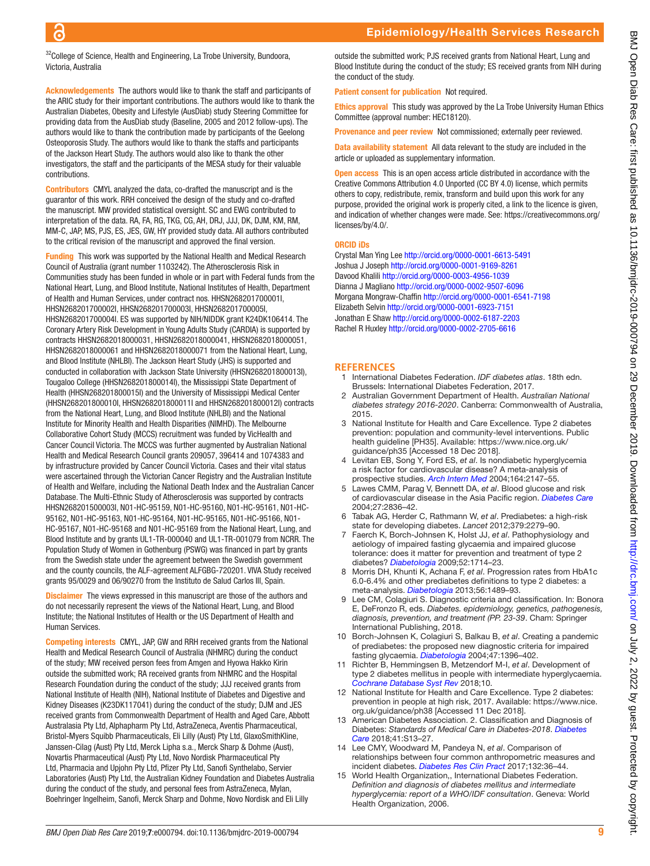$32$ College of Science, Health and Engineering, La Trobe University, Bundoora, Victoria, Australia

Acknowledgements The authors would like to thank the staff and participants of the ARIC study for their important contributions. The authors would like to thank the Australian Diabetes, Obesity and Lifestyle (AusDiab) study Steering Committee for providing data from the AusDiab study (Baseline, 2005 and 2012 follow-ups). The authors would like to thank the contribution made by participants of the Geelong Osteoporosis Study. The authors would like to thank the staffs and participants of the Jackson Heart Study. The authors would also like to thank the other investigators, the staff and the participants of the MESA study for their valuable contributions.

Contributors CMYL analyzed the data, co-drafted the manuscript and is the guarantor of this work. RRH conceived the design of the study and co-drafted the manuscript. MW provided statistical oversight. SC and EWG contributed to interpretation of the data. RA, FA, RG, TKG, CG, AH, DRJ, JJJ, DK, DJM, KM, RM, MM-C, JAP, MS, PJS, ES, JES, GW, HY provided study data. All authors contributed to the critical revision of the manuscript and approved the final version.

Funding This work was supported by the National Health and Medical Research Council of Australia (grant number 1103242). The Atherosclerosis Risk in Communities study has been funded in whole or in part with Federal funds from the National Heart, Lung, and Blood Institute, National Institutes of Health, Department of Health and Human Services, under contract nos. HHSN268201700001I, HHSN268201700002I, HHSN268201700003I, HHSN268201700005I, HHSN268201700004I. ES was supported by NIH/NIDDK grant K24DK106414. The Coronary Artery Risk Development in Young Adults Study (CARDIA) is supported by contracts HHSN2682018000031, HHSN2682018000041, HHSN2682018000051, HHSN2682018000061 and HHSN2682018000071 from the National Heart, Lung, and Blood Institute (NHLBI). The Jackson Heart Study (JHS) is supported and conducted in collaboration with Jackson State University (HHSN268201800013I), Tougaloo College (HHSN268201800014I), the Mississippi State Department of Health (HHSN268201800015I) and the University of Mississippi Medical Center (HHSN268201800010I, HHSN268201800011I and HHSN268201800012I) contracts from the National Heart, Lung, and Blood Institute (NHLBI) and the National Institute for Minority Health and Health Disparities (NIMHD). The Melbourne Collaborative Cohort Study (MCCS) recruitment was funded by VicHealth and Cancer Council Victoria. The MCCS was further augmented by Australian National Health and Medical Research Council grants 209057, 396414 and 1074383 and by infrastructure provided by Cancer Council Victoria. Cases and their vital status were ascertained through the Victorian Cancer Registry and the Australian Institute of Health and Welfare, including the National Death Index and the Australian Cancer Database. The Multi-Ethnic Study of Atherosclerosis was supported by contracts HHSN268201500003I, N01-HC-95159, N01-HC-95160, N01-HC-95161, N01-HC-95162, N01-HC-95163, N01-HC-95164, N01-HC-95165, N01-HC-95166, N01- HC-95167, N01-HC-95168 and N01-HC-95169 from the National Heart, Lung, and Blood Institute and by grants UL1-TR-000040 and UL1-TR-001079 from NCRR. The Population Study of Women in Gothenburg (PSWG) was financed in part by grants from the Swedish state under the agreement between the Swedish government and the county councils, the ALF-agreement ALFGBG-720201. VIVA Study received grants 95/0029 and 06/90270 from the Instituto de Salud Carlos III, Spain.

**Disclaimer** The views expressed in this manuscript are those of the authors and do not necessarily represent the views of the National Heart, Lung, and Blood Institute; the National Institutes of Health or the US Department of Health and Human Services.

Competing interests CMYL, JAP, GW and RRH received grants from the National Health and Medical Research Council of Australia (NHMRC) during the conduct of the study; MW received person fees from Amgen and Hyowa Hakko Kirin outside the submitted work; RA received grants from NHMRC and the Hospital Research Foundation during the conduct of the study; JJJ received grants from National Institute of Health (NIH), National Institute of Diabetes and Digestive and Kidney Diseases (K23DK117041) during the conduct of the study; DJM and JES received grants from Commonwealth Department of Health and Aged Care, Abbott Australasia Pty Ltd, Alphapharm Pty Ltd, AstraZeneca, Aventis Pharmaceutical, Bristol-Myers Squibb Pharmaceuticals, Eli Lilly (Aust) Pty Ltd, GlaxoSmithKline, Janssen-Cilag (Aust) Pty Ltd, Merck Lipha s.a., Merck Sharp & Dohme (Aust), Novartis Pharmaceutical (Aust) Pty Ltd, Novo Nordisk Pharmaceutical Pty Ltd, Pharmacia and Upjohn Pty Ltd, Pfizer Pty Ltd, Sanofi Synthelabo, Servier Laboratories (Aust) Pty Ltd, the Australian Kidney Foundation and Diabetes Australia during the conduct of the study, and personal fees from AstraZeneca, Mylan, Boehringer Ingelheim, Sanofi, Merck Sharp and Dohme, Novo Nordisk and Eli Lilly

outside the submitted work; PJS received grants from National Heart, Lung and Blood Institute during the conduct of the study; ES received grants from NIH during the conduct of the study.

Patient consent for publication Not required.

Ethics approval This study was approved by the La Trobe University Human Ethics Committee (approval number: HEC18120).

Provenance and peer review Not commissioned; externally peer reviewed. Data availability statement All data relevant to the study are included in the article or uploaded as supplementary information.

**Open access** This is an open access article distributed in accordance with the Creative Commons Attribution 4.0 Unported (CC BY 4.0) license, which permits others to copy, redistribute, remix, transform and build upon this work for any purpose, provided the original work is properly cited, a link to the licence is given, and indication of whether changes were made. See: [https://creativecommons.org/](https://creativecommons.org/licenses/by/4.0/) [licenses/by/4.0/](https://creativecommons.org/licenses/by/4.0/).

#### ORCID iDs

Crystal Man Ying Lee <http://orcid.org/0000-0001-6613-5491> Joshua J Joseph<http://orcid.org/0000-0001-9169-8261> Davood Khalili <http://orcid.org/0000-0003-4956-1039> Dianna J Magliano <http://orcid.org/0000-0002-9507-6096> Morgana Mongraw-Chaffin<http://orcid.org/0000-0001-6541-7198> Elizabeth Selvin<http://orcid.org/0000-0001-6923-7151> Jonathan E Shaw<http://orcid.org/0000-0002-6187-2203> Rachel R Huxley<http://orcid.org/0000-0002-2705-6616>

#### **References**

- <span id="page-8-0"></span>1 International Diabetes Federation. *IDF diabetes atlas*. 18th edn. Brussels: International Diabetes Federation, 2017.
- <span id="page-8-1"></span>2 Australian Government Department of Health. *Australian National diabetes strategy 2016-2020*. Canberra: Commonwealth of Australia, 2015.
- 3 National Institute for Health and Care Excellence. Type 2 diabetes prevention: population and community-level interventions. Public health guideline [PH35]. Available: [https://www.nice.org.uk/](https://www.nice.org.uk/guidance/ph35) [guidance/ph35](https://www.nice.org.uk/guidance/ph35) [Accessed 18 Dec 2018].
- <span id="page-8-2"></span>4 Levitan EB, Song Y, Ford ES, *et al*. Is nondiabetic hyperglycemia a risk factor for cardiovascular disease? A meta-analysis of prospective studies. *[Arch Intern Med](http://dx.doi.org/10.1001/archinte.164.19.2147)* 2004;164:2147–55.
- 5 Lawes CMM, Parag V, Bennett DA, *et al*. Blood glucose and risk of cardiovascular disease in the Asia Pacific region. *[Diabetes Care](http://dx.doi.org/10.2337/diacare.27.12.2836)* 2004;27:2836–42.
- <span id="page-8-3"></span>6 Tabak AG, Herder C, Rathmann W, *et al*. Prediabetes: a high-risk state for developing diabetes. *Lancet* 2012;379:2279–90.
- <span id="page-8-4"></span>7 Faerch K, Borch-Johnsen K, Holst JJ, *et al*. Pathophysiology and aetiology of impaired fasting glycaemia and impaired glucose tolerance: does it matter for prevention and treatment of type 2 diabetes? *[Diabetologia](http://dx.doi.org/10.1007/s00125-009-1443-3)* 2009;52:1714–23.
- 8 Morris DH, Khunti K, Achana F, *et al*. Progression rates from HbA1c 6.0-6.4% and other prediabetes definitions to type 2 diabetes: a meta-analysis. *[Diabetologia](http://dx.doi.org/10.1007/s00125-013-2902-4)* 2013;56:1489–93.
- <span id="page-8-5"></span>9 Lee CM, Colagiuri S. Diagnostic criteria and classification. In: Bonora E, DeFronzo R, eds. *Diabetes. epidemiology, genetics, pathogenesis, diagnosis, prevention, and treatment (PP. 23-39*. Cham: Springer International Publishing, 2018.
- <span id="page-8-6"></span>10 Borch-Johnsen K, Colagiuri S, Balkau B, *et al*. Creating a pandemic of prediabetes: the proposed new diagnostic criteria for impaired fasting glycaemia. *[Diabetologia](http://dx.doi.org/10.1007/s00125-004-1468-6)* 2004;47:1396–402.
- <span id="page-8-7"></span>11 Richter B, Hemmingsen B, Metzendorf M-I, *et al*. Development of type 2 diabetes mellitus in people with intermediate hyperglycaemia. *[Cochrane Database Syst Rev](http://dx.doi.org/10.1002/14651858.CD012661.pub2)* 2018;10.
- <span id="page-8-8"></span>12 National Institute for Health and Care Excellence. Type 2 diabetes: prevention in people at high risk, 2017. Available: [https://www.nice.](https://www.nice.org.uk/guidance/ph38) [org.uk/guidance/ph38](https://www.nice.org.uk/guidance/ph38) [Accessed 11 Dec 2018].
- <span id="page-8-11"></span>13 American Diabetes Association. 2. Classification and Diagnosis of Diabetes: *Standards of Medical Care in Diabetes-2018*. *[Diabetes](http://dx.doi.org/10.2337/dc18-S002)  [Care](http://dx.doi.org/10.2337/dc18-S002)* 2018;41:S13–27.
- <span id="page-8-9"></span>14 Lee CMY, Woodward M, Pandeya N, *et al*. Comparison of relationships between four common anthropometric measures and incident diabetes. *[Diabetes Res Clin Pract](http://dx.doi.org/10.1016/j.diabres.2017.07.022)* 2017;132:36–44.
- <span id="page-8-10"></span>15 World Health Organization,, International Diabetes Federation. *Definition and diagnosis of diabetes mellitus and intermediate hyperglycemia: report of a WHO/IDF consultation*. Geneva: World Health Organization, 2006.